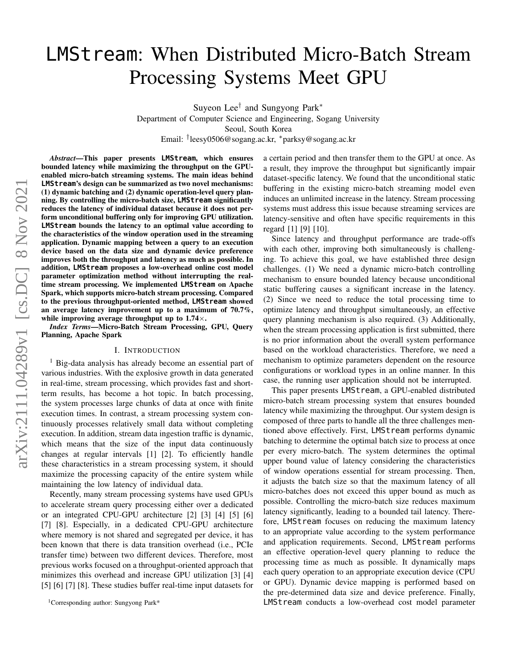# LMStream: When Distributed Micro-Batch Stream Processing Systems Meet GPU

Suyeon Lee<sup>†</sup> and Sungyong Park<sup>∗</sup>

Department of Computer Science and Engineering, Sogang University Seoul, South Korea

Email: † leesy0506@sogang.ac.kr, <sup>∗</sup>parksy@sogang.ac.kr

*Abstract*—This paper presents **LMStream**, which ensures bounded latency while maximizing the throughput on the GPUenabled micro-batch streaming systems. The main ideas behind **LMStream**'s design can be summarized as two novel mechanisms: (1) dynamic batching and (2) dynamic operation-level query planning. By controlling the micro-batch size, **LMStream** significantly reduces the latency of individual dataset because it does not perform unconditional buffering only for improving GPU utilization. **LMStream** bounds the latency to an optimal value according to the characteristics of the window operation used in the streaming application. Dynamic mapping between a query to an execution device based on the data size and dynamic device preference improves both the throughput and latency as much as possible. In addition, **LMStream** proposes a low-overhead online cost model parameter optimization method without interrupting the realtime stream processing. We implemented **LMStream** on Apache Spark, which supports micro-batch stream processing. Compared to the previous throughput-oriented method, **LMStream** showed an average latency improvement up to a maximum of 70.7%, while improving average throughput up to  $1.74\times$ .

*Index Terms*—Micro-Batch Stream Processing, GPU, Query Planning, Apache Spark

#### I. INTRODUCTION

<sup>[1](#page-0-0)</sup> Big-data analysis has already become an essential part of various industries. With the explosive growth in data generated in real-time, stream processing, which provides fast and shortterm results, has become a hot topic. In batch processing, the system processes large chunks of data at once with finite execution times. In contrast, a stream processing system continuously processes relatively small data without completing execution. In addition, stream data ingestion traffic is dynamic, which means that the size of the input data continuously changes at regular intervals [\[1\]](#page-9-0) [\[2\]](#page-9-1). To efficiently handle these characteristics in a stream processing system, it should maximize the processing capacity of the entire system while maintaining the low latency of individual data.

Recently, many stream processing systems have used GPUs to accelerate stream query processing either over a dedicated or an integrated CPU-GPU architecture [\[2\]](#page-9-1) [\[3\]](#page-9-2) [\[4\]](#page-9-3) [\[5\]](#page-9-4) [\[6\]](#page-9-5) [\[7\]](#page-9-6) [\[8\]](#page-9-7). Especially, in a dedicated CPU-GPU architecture where memory is not shared and segregated per device, it has been known that there is data transition overhead (i.e., PCIe transfer time) between two different devices. Therefore, most previous works focused on a throughput-oriented approach that minimizes this overhead and increase GPU utilization [\[3\]](#page-9-2) [\[4\]](#page-9-3) [\[5\]](#page-9-4) [\[6\]](#page-9-5) [\[7\]](#page-9-6) [\[8\]](#page-9-7). These studies buffer real-time input datasets for a certain period and then transfer them to the GPU at once. As a result, they improve the throughput but significantly impair dataset-specific latency. We found that the unconditional static buffering in the existing micro-batch streaming model even induces an unlimited increase in the latency. Stream processing systems must address this issue because streaming services are latency-sensitive and often have specific requirements in this regard [\[1\]](#page-9-0) [\[9\]](#page-9-8) [\[10\]](#page-9-9).

Since latency and throughput performance are trade-offs with each other, improving both simultaneously is challenging. To achieve this goal, we have established three design challenges. (1) We need a dynamic micro-batch controlling mechanism to ensure bounded latency because unconditional static buffering causes a significant increase in the latency. (2) Since we need to reduce the total processing time to optimize latency and throughput simultaneously, an effective query planning mechanism is also required. (3) Additionally, when the stream processing application is first submitted, there is no prior information about the overall system performance based on the workload characteristics. Therefore, we need a mechanism to optimize parameters dependent on the resource configurations or workload types in an online manner. In this case, the running user application should not be interrupted.

This paper presents LMStream, a GPU-enabled distributed micro-batch stream processing system that ensures bounded latency while maximizing the throughput. Our system design is composed of three parts to handle all the three challenges mentioned above effectively. First, LMStream performs dynamic batching to determine the optimal batch size to process at once per every micro-batch. The system determines the optimal upper bound value of latency considering the characteristics of window operations essential for stream processing. Then, it adjusts the batch size so that the maximum latency of all micro-batches does not exceed this upper bound as much as possible. Controlling the micro-batch size reduces maximum latency significantly, leading to a bounded tail latency. Therefore, LMStream focuses on reducing the maximum latency to an appropriate value according to the system performance and application requirements. Second, LMStream performs an effective operation-level query planning to reduce the processing time as much as possible. It dynamically maps each query operation to an appropriate execution device (CPU or GPU). Dynamic device mapping is performed based on the pre-determined data size and device preference. Finally, LMStream conducts a low-overhead cost model parameter

<span id="page-0-0"></span><sup>1</sup>Corresponding author: Sungyong Park\*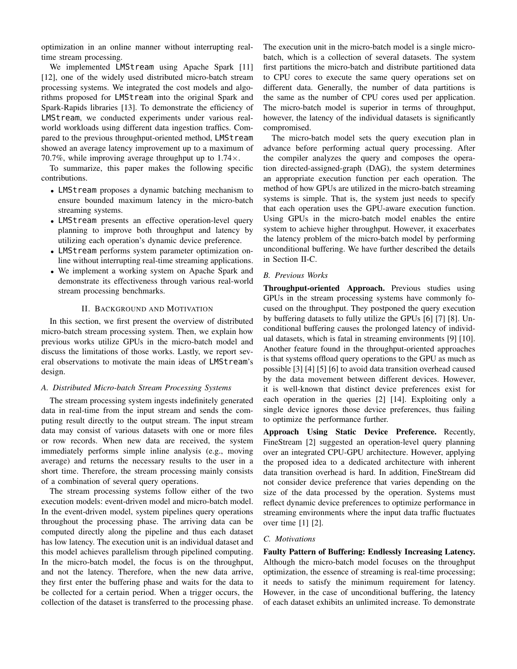optimization in an online manner without interrupting realtime stream processing.

We implemented LMStream using Apache Spark [\[11\]](#page-9-10) [\[12\]](#page-9-11), one of the widely used distributed micro-batch stream processing systems. We integrated the cost models and algorithms proposed for LMStream into the original Spark and Spark-Rapids libraries [\[13\]](#page-10-0). To demonstrate the efficiency of LMStream, we conducted experiments under various realworld workloads using different data ingestion traffics. Compared to the previous throughput-oriented method, LMStream showed an average latency improvement up to a maximum of 70.7%, while improving average throughput up to  $1.74 \times$ .

To summarize, this paper makes the following specific contributions.

- LMStream proposes a dynamic batching mechanism to ensure bounded maximum latency in the micro-batch streaming systems.
- LMStream presents an effective operation-level query planning to improve both throughput and latency by utilizing each operation's dynamic device preference.
- LMStream performs system parameter optimization online without interrupting real-time streaming applications.
- We implement a working system on Apache Spark and demonstrate its effectiveness through various real-world stream processing benchmarks.

## II. BACKGROUND AND MOTIVATION

In this section, we first present the overview of distributed micro-batch stream processing system. Then, we explain how previous works utilize GPUs in the micro-batch model and discuss the limitations of those works. Lastly, we report several observations to motivate the main ideas of LMStream's design.

#### *A. Distributed Micro-batch Stream Processing Systems*

The stream processing system ingests indefinitely generated data in real-time from the input stream and sends the computing result directly to the output stream. The input stream data may consist of various datasets with one or more files or row records. When new data are received, the system immediately performs simple inline analysis (e.g., moving average) and returns the necessary results to the user in a short time. Therefore, the stream processing mainly consists of a combination of several query operations.

The stream processing systems follow either of the two execution models: event-driven model and micro-batch model. In the event-driven model, system pipelines query operations throughout the processing phase. The arriving data can be computed directly along the pipeline and thus each dataset has low latency. The execution unit is an individual dataset and this model achieves parallelism through pipelined computing. In the micro-batch model, the focus is on the throughput, and not the latency. Therefore, when the new data arrive, they first enter the buffering phase and waits for the data to be collected for a certain period. When a trigger occurs, the collection of the dataset is transferred to the processing phase. The execution unit in the micro-batch model is a single microbatch, which is a collection of several datasets. The system first partitions the micro-batch and distribute partitioned data to CPU cores to execute the same query operations set on different data. Generally, the number of data partitions is the same as the number of CPU cores used per application. The micro-batch model is superior in terms of throughput, however, the latency of the individual datasets is significantly compromised.

The micro-batch model sets the query execution plan in advance before performing actual query processing. After the compiler analyzes the query and composes the operation directed-assigned-graph (DAG), the system determines an appropriate execution function per each operation. The method of how GPUs are utilized in the micro-batch streaming systems is simple. That is, the system just needs to specify that each operation uses the GPU-aware execution function. Using GPUs in the micro-batch model enables the entire system to achieve higher throughput. However, it exacerbates the latency problem of the micro-batch model by performing unconditional buffering. We have further described the details in Section [II-C.](#page-1-0)

#### *B. Previous Works*

Throughput-oriented Approach. Previous studies using GPUs in the stream processing systems have commonly focused on the throughput. They postponed the query execution by buffering datasets to fully utilize the GPUs [\[6\]](#page-9-5) [\[7\]](#page-9-6) [\[8\]](#page-9-7). Unconditional buffering causes the prolonged latency of individual datasets, which is fatal in streaming environments [\[9\]](#page-9-8) [\[10\]](#page-9-9). Another feature found in the throughput-oriented approaches is that systems offload query operations to the GPU as much as possible [\[3\]](#page-9-2) [\[4\]](#page-9-3) [\[5\]](#page-9-4) [\[6\]](#page-9-5) to avoid data transition overhead caused by the data movement between different devices. However, it is well-known that distinct device preferences exist for each operation in the queries [\[2\]](#page-9-1) [\[14\]](#page-10-1). Exploiting only a single device ignores those device preferences, thus failing to optimize the performance further.

Approach Using Static Device Preference. Recently, FineStream [\[2\]](#page-9-1) suggested an operation-level query planning over an integrated CPU-GPU architecture. However, applying the proposed idea to a dedicated architecture with inherent data transition overhead is hard. In addition, FineStream did not consider device preference that varies depending on the size of the data processed by the operation. Systems must reflect dynamic device preferences to optimize performance in streaming environments where the input data traffic fluctuates over time [\[1\]](#page-9-0) [\[2\]](#page-9-1).

## <span id="page-1-0"></span>*C. Motivations*

Faulty Pattern of Buffering: Endlessly Increasing Latency. Although the micro-batch model focuses on the throughput optimization, the essence of streaming is real-time processing; it needs to satisfy the minimum requirement for latency. However, in the case of unconditional buffering, the latency of each dataset exhibits an unlimited increase. To demonstrate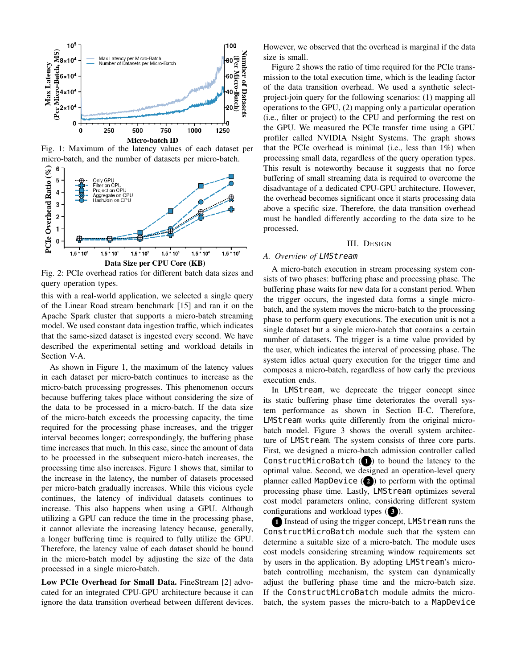<span id="page-2-0"></span>

Fig. 1: Maximum of the latency values of each dataset per micro-batch, and the number of datasets per micro-batch.

<span id="page-2-1"></span>

Fig. 2: PCIe overhead ratios for different batch data sizes and query operation types.

this with a real-world application, we selected a single query of the Linear Road stream benchmark [\[15\]](#page-10-2) and ran it on the Apache Spark cluster that supports a micro-batch streaming model. We used constant data ingestion traffic, which indicates that the same-sized dataset is ingested every second. We have described the experimental setting and workload details in Section [V-A.](#page-7-0)

As shown in Figure [1,](#page-2-0) the maximum of the latency values in each dataset per micro-batch continues to increase as the micro-batch processing progresses. This phenomenon occurs because buffering takes place without considering the size of the data to be processed in a micro-batch. If the data size of the micro-batch exceeds the processing capacity, the time required for the processing phase increases, and the trigger interval becomes longer; correspondingly, the buffering phase time increases that much. In this case, since the amount of data to be processed in the subsequent micro-batch increases, the processing time also increases. Figure [1](#page-2-0) shows that, similar to the increase in the latency, the number of datasets processed per micro-batch gradually increases. While this vicious cycle continues, the latency of individual datasets continues to increase. This also happens when using a GPU. Although utilizing a GPU can reduce the time in the processing phase, it cannot alleviate the increasing latency because, generally, a longer buffering time is required to fully utilize the GPU. Therefore, the latency value of each dataset should be bound in the micro-batch model by adjusting the size of the data processed in a single micro-batch.

Low PCIe Overhead for Small Data. FineStream [\[2\]](#page-9-1) advocated for an integrated CPU-GPU architecture because it can ignore the data transition overhead between different devices. However, we observed that the overhead is marginal if the data size is small.

Figure [2](#page-2-1) shows the ratio of time required for the PCIe transmission to the total execution time, which is the leading factor of the data transition overhead. We used a synthetic selectproject-join query for the following scenarios: (1) mapping all operations to the GPU, (2) mapping only a particular operation (i.e., filter or project) to the CPU and performing the rest on the GPU. We measured the PCIe transfer time using a GPU profiler called NVIDIA Nsight Systems. The graph shows that the PCIe overhead is minimal (i.e., less than 1%) when processing small data, regardless of the query operation types. This result is noteworthy because it suggests that no force buffering of small streaming data is required to overcome the disadvantage of a dedicated CPU-GPU architecture. However, the overhead becomes significant once it starts processing data above a specific size. Therefore, the data transition overhead must be handled differently according to the data size to be processed.

#### III. DESIGN

## *A. Overview of* LMStream

A micro-batch execution in stream processing system consists of two phases: buffering phase and processing phase. The buffering phase waits for new data for a constant period. When the trigger occurs, the ingested data forms a single microbatch, and the system moves the micro-batch to the processing phase to perform query executions. The execution unit is not a single dataset but a single micro-batch that contains a certain number of datasets. The trigger is a time value provided by the user, which indicates the interval of processing phase. The system idles actual query execution for the trigger time and composes a micro-batch, regardless of how early the previous execution ends.

In LMStream, we deprecate the trigger concept since its static buffering phase time deteriorates the overall system performance as shown in Section [II-C.](#page-1-0) Therefore, LMStream works quite differently from the original microbatch model. Figure [3](#page-3-0) shows the overall system architecture of LMStream. The system consists of three core parts. First, we designed a micro-batch admission controller called ConstructMicroBatch  $(1)$  to bound the latency to the optimal value. Second, we designed an operation-level query planner called MapDevice  $(2)$  to perform with the optimal processing phase time. Lastly, LMStream optimizes several cost model parameters online, considering different system configurations and workload types (3).

1 Instead of using the trigger concept, LMSt ream runs the ConstructMicroBatch module such that the system can determine a suitable size of a micro-batch. The module uses cost models considering streaming window requirements set by users in the application. By adopting LMStream's microbatch controlling mechanism, the system can dynamically adjust the buffering phase time and the micro-batch size. If the ConstructMicroBatch module admits the microbatch, the system passes the micro-batch to a MapDevice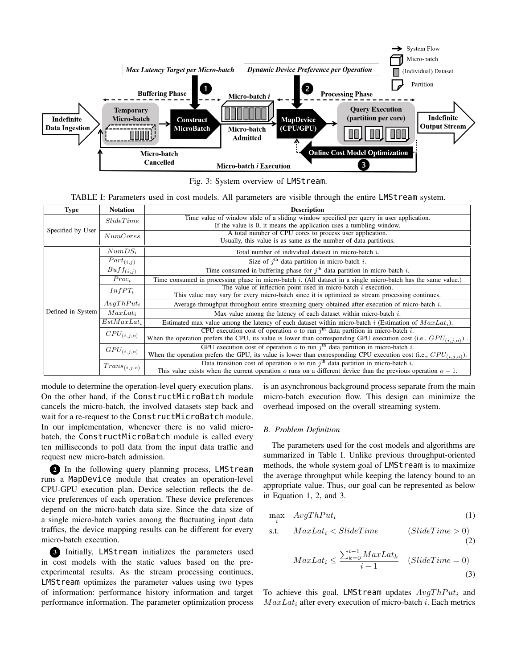<span id="page-3-0"></span>

Fig. 3: System overview of LMStream.

TABLE I: Parameters used in cost models. All parameters are visible through the entire LMStream system.

<span id="page-3-1"></span>

| Type              | <b>Notation</b>           | <b>Description</b>                                                                                                     |  |  |  |  |
|-------------------|---------------------------|------------------------------------------------------------------------------------------------------------------------|--|--|--|--|
| Specified by User | SlideTime                 | Time value of window slide of a sliding window specified per query in user application.                                |  |  |  |  |
|                   |                           | If the value is 0, it means the application uses a tumbling window.                                                    |  |  |  |  |
|                   | NumCores                  | A total number of CPU cores to process user application.                                                               |  |  |  |  |
|                   |                           | Usually, this value is as same as the number of data partitions.                                                       |  |  |  |  |
|                   | $NumDS_i$                 | Total number of individual dataset in micro-batch i.                                                                   |  |  |  |  |
|                   | $\overline{Part}_{(i,j)}$ | Size of $i^{\text{th}}$ data partition in micro-batch i.                                                               |  |  |  |  |
|                   | $\overline{Buf}f_{(i,j)}$ | Time consumed in buffering phase for $jth$ data partition in micro-batch i.                                            |  |  |  |  |
|                   | $Proc_i$                  | Time consumed in processing phase in micro-batch i. (All dataset in a single micro-batch has the same value.)          |  |  |  |  |
|                   | $InfPT_i$                 | The value of inflection point used in micro-batch $i$ execution.                                                       |  |  |  |  |
|                   |                           | This value may vary for every micro-batch since it is optimized as stream processing continues.                        |  |  |  |  |
|                   | $AvgThPut_i$              | Average throughput throughout entire streaming query obtained after execution of micro-batch i.                        |  |  |  |  |
| Defined in System | $MaxLat_i$                | Max value among the latency of each dataset within micro-batch $i$ .                                                   |  |  |  |  |
|                   | $EstMaxLat_i$             | Estimated max value among the latency of each dataset within micro-batch i (Estimation of $MaxLat_i$ ).                |  |  |  |  |
|                   | $CPU_{(i,j,o)}$           | CPU execution cost of operation o to run $jth$ data partition in micro-batch i.                                        |  |  |  |  |
|                   |                           | When the operation prefers the CPU, its value is lower than corresponding GPU execution cost (i.e., $GPU(i, j, o)$ ).  |  |  |  |  |
|                   | $GPU_{(i,j,o)}$           | GPU execution cost of operation $\sigma$ to run $jth$ data partition in micro-batch i.                                 |  |  |  |  |
|                   |                           | When the operation prefers the GPU, its value is lower than corresponding CPU execution cost (i.e., $CPU_{(i,j,o)}$ ). |  |  |  |  |
|                   | $Trans_{(i,j,o)}$         | Data transition cost of operation $\sigma$ to run $jth$ data partition in micro-batch i.                               |  |  |  |  |
|                   |                           | This value exists when the current operation o runs on a different device than the previous operation $o-1$ .          |  |  |  |  |

module to determine the operation-level query execution plans. On the other hand, if the ConstructMicroBatch module cancels the micro-batch, the involved datasets step back and wait for a re-request to the ConstructMicroBatch module. In our implementation, whenever there is no valid microbatch, the ConstructMicroBatch module is called every ten milliseconds to poll data from the input data traffic and request new micro-batch admission.

2 In the following query planning process, LMStream runs a MapDevice module that creates an operation-level CPU-GPU execution plan. Device selection reflects the device preferences of each operation. These device preferences depend on the micro-batch data size. Since the data size of a single micro-batch varies among the fluctuating input data traffics, the device mapping results can be different for every micro-batch execution.

3 Initially, LMStream initializes the parameters used in cost models with the static values based on the preexperimental results. As the stream processing continues, LMStream optimizes the parameter values using two types of information: performance history information and target performance information. The parameter optimization process is an asynchronous background process separate from the main micro-batch execution flow. This design can minimize the overhead imposed on the overall streaming system.

#### *B. Problem Definition*

The parameters used for the cost models and algorithms are summarized in Table [I.](#page-3-1) Unlike previous throughput-oriented methods, the whole system goal of LMStream is to maximize the average throughput while keeping the latency bound to an appropriate value. Thus, our goal can be represented as below in Equation [1,](#page-3-2) [2,](#page-3-3) and [3.](#page-3-4)

$$
\max_{i} \quad AvgThPut_{i} \tag{1}
$$

$$
s.t. \quad MaxLat_i < SlideTime \qquad (SlideTime > 0)
$$

$$
MaxLat_i \le \frac{\sum_{k=0}^{i-1} MaxLat_k}{i-1} \quad (SlideTime = 0)
$$
\n(3)

<span id="page-3-4"></span><span id="page-3-3"></span><span id="page-3-2"></span>(2)

To achieve this goal, LMStream updates  $AvgThPut_i$  and  $MaxLat<sub>i</sub>$  after every execution of micro-batch i. Each metrics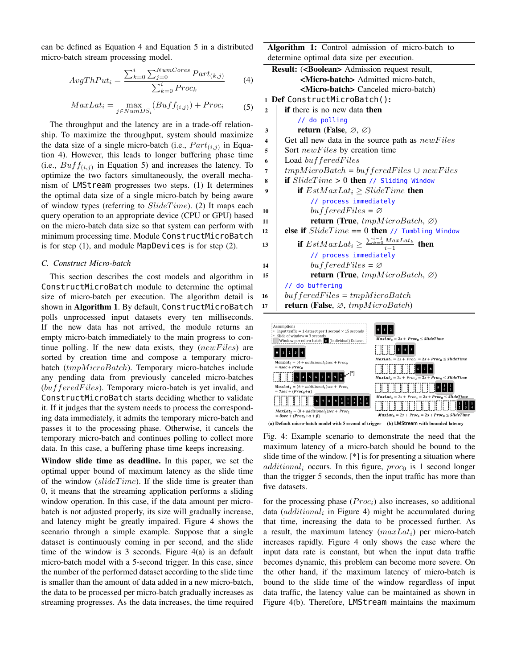can be defined as Equation [4](#page-4-0) and Equation [5](#page-4-1) in a distributed micro-batch stream processing model.

<span id="page-4-0"></span>
$$
AvgThPut_i = \frac{\sum_{k=0}^{i} \sum_{j=0}^{NumCores} Part_{(k,j)}}{\sum_{k=0}^{i} Proc_k}
$$
 (4)

<span id="page-4-1"></span>
$$
MaxLat_i = \max_{j \in NumDS_i} (Buff_{(i,j)}) + Proc_i \tag{5}
$$

The throughput and the latency are in a trade-off relationship. To maximize the throughput, system should maximize the data size of a single micro-batch (i.e.,  $Part_{(i,j)}$  in Equation [4\)](#page-4-0). However, this leads to longer buffering phase time (i.e.,  $Butff_{(i,j)}$  in Equation [5\)](#page-4-1) and increases the latency. To optimize the two factors simultaneously, the overall mechanism of LMStream progresses two steps. (1) It determines the optimal data size of a single micro-batch by being aware of window types (referring to  $S$ lide $Time$ ). (2) It maps each query operation to an appropriate device (CPU or GPU) based on the micro-batch data size so that system can perform with minimum processing time. Module ConstructMicroBatch is for step (1), and module MapDevices is for step (2).

## <span id="page-4-3"></span>*C. Construct Micro-batch*

This section describes the cost models and algorithm in ConstructMicroBatch module to determine the optimal size of micro-batch per execution. The algorithm detail is shown in **Algorithm 1**. By default, ConstructMicroBatch polls unprocessed input datasets every ten milliseconds. If the new data has not arrived, the module returns an empty micro-batch immediately to the main progress to continue polling. If the new data exists, they  $(newFiles)$  are sorted by creation time and compose a temporary microbatch  $tmpMicroBatch)$ . Temporary micro-batches include any pending data from previously canceled micro-batches  $(bufferedFiles)$ . Temporary micro-batch is yet invalid, and ConstructMicroBatch starts deciding whether to validate it. If it judges that the system needs to process the corresponding data immediately, it admits the temporary micro-batch and passes it to the processing phase. Otherwise, it cancels the temporary micro-batch and continues polling to collect more data. In this case, a buffering phase time keeps increasing.

Window slide time as deadline. In this paper, we set the optimal upper bound of maximum latency as the slide time of the window ( $slideTime$ ). If the slide time is greater than 0, it means that the streaming application performs a sliding window operation. In this case, if the data amount per microbatch is not adjusted properly, its size will gradually increase, and latency might be greatly impaired. Figure [4](#page-4-2) shows the scenario through a simple example. Suppose that a single dataset is continuously coming in per second, and the slide time of the window is 3 seconds. Figure [4\(](#page-4-2)a) is an default micro-batch model with a 5-second trigger. In this case, since the number of the performed dataset according to the slide time is smaller than the amount of data added in a new micro-batch, the data to be processed per micro-batch gradually increases as streaming progresses. As the data increases, the time required Algorithm 1: Control admission of micro-batch to determine optimal data size per execution.

|                         | <b>Result: (<boolean></boolean></b> Admission request result,    |  |  |  |  |  |
|-------------------------|------------------------------------------------------------------|--|--|--|--|--|
|                         | <micro-batch> Admitted micro-batch,</micro-batch>                |  |  |  |  |  |
|                         | <micro-batch> Canceled micro-batch)</micro-batch>                |  |  |  |  |  |
|                         | 1 Def ConstructMicroBatch():                                     |  |  |  |  |  |
| $\mathbf{2}$            | <b>if</b> there is no new data <b>then</b>                       |  |  |  |  |  |
|                         | // do polling                                                    |  |  |  |  |  |
| 3                       | return (False, $\varnothing$ , $\varnothing$ )                   |  |  |  |  |  |
| $\overline{\mathbf{4}}$ | Get all new data in the source path as newFiles                  |  |  |  |  |  |
| 5                       | Sort <i>newFiles</i> by creation time                            |  |  |  |  |  |
| 6                       | Load buffered Files                                              |  |  |  |  |  |
| 7                       | $tmpMicroBatch = bufferedFiles \cup newFiles$                    |  |  |  |  |  |
| 8                       | <b>if</b> $S$ <i>lideTime</i> > 0 <b>then</b> // Sliding Window  |  |  |  |  |  |
| 9                       | <b>if</b> $EstMaxLat_i \geq SlideTime$ then                      |  |  |  |  |  |
|                         | // process immediately                                           |  |  |  |  |  |
| 10                      | $bufferedFiles = \varnothing$                                    |  |  |  |  |  |
| 11                      | <b>return</b> (True, $tmpMicroBatch, \varnothing)$               |  |  |  |  |  |
| 12                      | else if $SlideTime = 0$ then // Tumbling Window                  |  |  |  |  |  |
| 13                      | if $EstMaxLat_i \geq \frac{\sum_{k=0}^{i-1} MaxLat_k}{i-1}$ then |  |  |  |  |  |
|                         | // process immediately                                           |  |  |  |  |  |
| 14                      | $bufferedFiles = \varnothing$                                    |  |  |  |  |  |
| 15                      | <b>return</b> (True, $tmpMicroBatch, \varnothing)$               |  |  |  |  |  |
|                         | // do buffering                                                  |  |  |  |  |  |
| 16                      | $bufferedFiles = tmpMicroBatch$                                  |  |  |  |  |  |
| 17                      | <b>return</b> (False, $\varnothing$ , <i>tmpMicroBatch</i> )     |  |  |  |  |  |

<span id="page-4-2"></span>

(a) Default micro-batch model with 5 second of trigger (b) LMStream with bounded latency

Fig. 4: Example scenario to demonstrate the need that the maximum latency of a micro-batch should be bound to the slide time of the window. [\*] is for presenting a situation where  $additional_i$  occurs. In this figure,  $proc_0$  is 1 second longer than the trigger 5 seconds, then the input traffic has more than five datasets.

for the processing phase  $(Proc<sub>i</sub>)$  also increases, so additional data  $(additional_i$  in Figure [4\)](#page-4-2) might be accumulated during that time, increasing the data to be processed further. As a result, the maximum latency  $(maxLat<sub>i</sub>)$  per micro-batch increases rapidly. Figure [4](#page-4-2) only shows the case where the input data rate is constant, but when the input data traffic becomes dynamic, this problem can become more severe. On the other hand, if the maximum latency of micro-batch is bound to the slide time of the window regardless of input data traffic, the latency value can be maintained as shown in Figure [4\(](#page-4-2)b). Therefore, LMStream maintains the maximum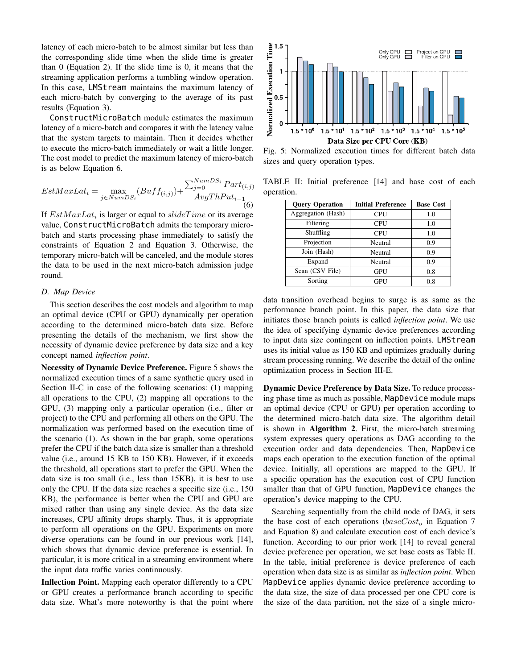latency of each micro-batch to be almost similar but less than the corresponding slide time when the slide time is greater than 0 (Equation [2\)](#page-3-3). If the slide time is 0, it means that the streaming application performs a tumbling window operation. In this case, LMStream maintains the maximum latency of each micro-batch by converging to the average of its past results (Equation [3\)](#page-3-4).

ConstructMicroBatch module estimates the maximum latency of a micro-batch and compares it with the latency value that the system targets to maintain. Then it decides whether to execute the micro-batch immediately or wait a little longer. The cost model to predict the maximum latency of micro-batch is as below Equation [6.](#page-5-0)

<span id="page-5-0"></span>
$$
EstMaxLat_i = \max_{j \in NumDS_i} (Buff_{(i,j)}) + \frac{\sum_{j=0}^{NumDS_i} Part_{(i,j)}}{AvgThPut_{i-1}} \tag{6}
$$

If  $EstMaxLat_i$  is larger or equal to  $slideTime$  or its average value, ConstructMicroBatch admits the temporary microbatch and starts processing phase immediately to satisfy the constraints of Equation [2](#page-3-3) and Equation [3.](#page-3-4) Otherwise, the temporary micro-batch will be canceled, and the module stores the data to be used in the next micro-batch admission judge round.

## <span id="page-5-3"></span>*D. Map Device*

This section describes the cost models and algorithm to map an optimal device (CPU or GPU) dynamically per operation according to the determined micro-batch data size. Before presenting the details of the mechanism, we first show the necessity of dynamic device preference by data size and a key concept named *inflection point*.

Necessity of Dynamic Device Preference. Figure [5](#page-5-1) shows the normalized execution times of a same synthetic query used in Section [II-C](#page-1-0) in case of the following scenarios: (1) mapping all operations to the CPU, (2) mapping all operations to the GPU, (3) mapping only a particular operation (i.e., filter or project) to the CPU and performing all others on the GPU. The normalization was performed based on the execution time of the scenario (1). As shown in the bar graph, some operations prefer the CPU if the batch data size is smaller than a threshold value (i.e., around 15 KB to 150 KB). However, if it exceeds the threshold, all operations start to prefer the GPU. When the data size is too small (i.e., less than 15KB), it is best to use only the CPU. If the data size reaches a specific size (i.e., 150 KB), the performance is better when the CPU and GPU are mixed rather than using any single device. As the data size increases, CPU affinity drops sharply. Thus, it is appropriate to perform all operations on the GPU. Experiments on more diverse operations can be found in our previous work [\[14\]](#page-10-1), which shows that dynamic device preference is essential. In particular, it is more critical in a streaming environment where the input data traffic varies continuously.

Inflection Point. Mapping each operator differently to a CPU or GPU creates a performance branch according to specific data size. What's more noteworthy is that the point where

<span id="page-5-1"></span>

Fig. 5: Normalized execution times for different batch data sizes and query operation types.

<span id="page-5-2"></span>TABLE II: Initial preference [\[14\]](#page-10-1) and base cost of each operation.

| <b>Query Operation</b> | <b>Initial Preference</b> | <b>Base Cost</b> |  |
|------------------------|---------------------------|------------------|--|
| Aggregation (Hash)     | CPU                       | 1.0              |  |
| Filtering              | CPU                       | 1.0              |  |
| Shuffling              | <b>CPU</b>                | 1.0              |  |
| Projection             | Neutral                   | 0.9              |  |
| Join (Hash)            | Neutral                   | 0.9              |  |
| Expand                 | Neutral                   | 0.9              |  |
| Scan (CSV File)        | GPU                       | 0.8              |  |
| Sorting                | GPU                       | 0.8              |  |

data transition overhead begins to surge is as same as the performance branch point. In this paper, the data size that initiates those branch points is called *inflection point*. We use the idea of specifying dynamic device preferences according to input data size contingent on inflection points. LMStream uses its initial value as 150 KB and optimizes gradually during stream processing running. We describe the detail of the online optimization process in Section [III-E.](#page-6-0)

Dynamic Device Preference by Data Size. To reduce processing phase time as much as possible, MapDevice module maps an optimal device (CPU or GPU) per operation according to the determined micro-batch data size. The algorithm detail is shown in Algorithm 2. First, the micro-batch streaming system expresses query operations as DAG according to the execution order and data dependencies. Then, MapDevice maps each operation to the execution function of the optimal device. Initially, all operations are mapped to the GPU. If a specific operation has the execution cost of CPU function smaller than that of GPU function, MapDevice changes the operation's device mapping to the CPU.

Searching sequentially from the child node of DAG, it sets the base cost of each operations ( $baseCost<sub>o</sub>$  in Equation [7](#page-6-1) and Equation [8\)](#page-6-2) and calculate execution cost of each device's function. According to our prior work [\[14\]](#page-10-1) to reveal general device preference per operation, we set base costs as Table [II.](#page-5-2) In the table, initial preference is device preference of each operation when data size is as similar as *inflection point*. When MapDevice applies dynamic device preference according to the data size, the size of data processed per one CPU core is the size of the data partition, not the size of a single micro-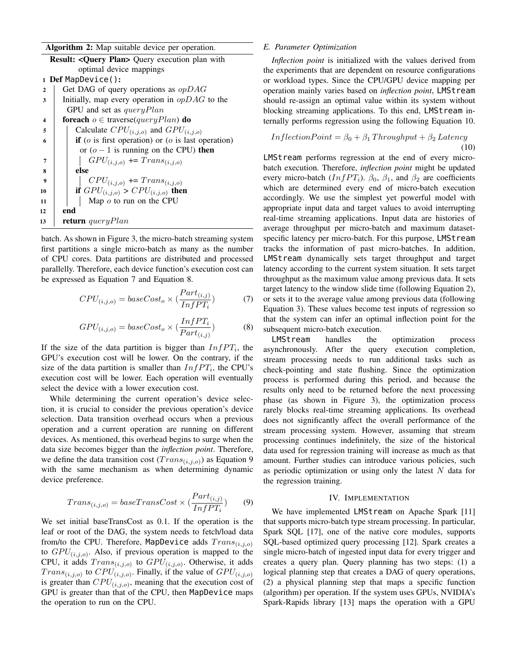| Algorithm 2: Map suitable device per operation. |  |  |  |  |  |  |
|-------------------------------------------------|--|--|--|--|--|--|
|-------------------------------------------------|--|--|--|--|--|--|

| <b>Result: <query plan=""></query></b> Query execution plan with                |  |  |  |  |  |  |
|---------------------------------------------------------------------------------|--|--|--|--|--|--|
| optimal device mappings                                                         |  |  |  |  |  |  |
| 1 Def MapDevice():                                                              |  |  |  |  |  |  |
| Get DAG of query operations as $opDAG$<br>$\mathbf{2}$                          |  |  |  |  |  |  |
| Initially, map every operation in $opDAG$ to the<br>3                           |  |  |  |  |  |  |
| GPU and set as $queryPlan$                                                      |  |  |  |  |  |  |
| <b>foreach</b> $o \in \text{traverse}(queryPlan)$ <b>do</b><br>$\boldsymbol{4}$ |  |  |  |  |  |  |
| Calculate $CPU_{(i,j,o)}$ and $GPU_{(i,j,o)}$<br>5                              |  |  |  |  |  |  |
| <b>if</b> ( $o$ is first operation) or ( $o$ is last operation)<br>6            |  |  |  |  |  |  |
| or $(o - 1)$ is running on the CPU) then                                        |  |  |  |  |  |  |
| $GPU_{(i,j,o)} \Leftrightarrow Trans_{(i,j,o)}$<br>7                            |  |  |  |  |  |  |
| else<br>8                                                                       |  |  |  |  |  |  |
| $CPU_{(i,j,o)} \text{ += } Trans_{(i,j,o)}$<br>9                                |  |  |  |  |  |  |
| if $GPU_{(i,j,o)} > CPU_{(i,j,o)}$ then                                         |  |  |  |  |  |  |
| Map $o$ to run on the CPU                                                       |  |  |  |  |  |  |
| end<br>12                                                                       |  |  |  |  |  |  |
| <b>return</b> query Plan                                                        |  |  |  |  |  |  |
| 10<br>11<br>13                                                                  |  |  |  |  |  |  |

batch. As shown in Figure [3,](#page-3-0) the micro-batch streaming system first partitions a single micro-batch as many as the number of CPU cores. Data partitions are distributed and processed parallelly. Therefore, each device function's execution cost can be expressed as Equation [7](#page-6-1) and Equation [8.](#page-6-2)

<span id="page-6-1"></span>
$$
CPU_{(i,j,o)} = baseCost_o \times (\frac{Part_{(i,j)}}{InfPT_i})
$$
 (7)

<span id="page-6-2"></span>
$$
GPU_{(i,j,o)} = baseCost_o \times (\frac{InfPT_i}{Part_{(i,j)}})
$$
 (8)

If the size of the data partition is bigger than  $InfPT_i$ , the GPU's execution cost will be lower. On the contrary, if the size of the data partition is smaller than  $InfPT_i$ , the CPU's execution cost will be lower. Each operation will eventually select the device with a lower execution cost.

While determining the current operation's device selection, it is crucial to consider the previous operation's device selection. Data transition overhead occurs when a previous operation and a current operation are running on different devices. As mentioned, this overhead begins to surge when the data size becomes bigger than the *inflection point*. Therefore, we define the data transition cost  $(Trans_{(i,j,o)})$  as Equation [9](#page-6-3) with the same mechanism as when determining dynamic device preference.

<span id="page-6-3"></span>
$$
Trans_{(i,j,o)} = baseTransCost \times (\frac{Part_{(i,j)}}{InfPT_i})
$$
 (9)

We set initial baseTransCost as 0.1. If the operation is the leaf or root of the DAG, the system needs to fetch/load data from/to the CPU. Therefore, MapDevice adds  $Trans_{(i,j,o)}$ to  $GPU_{(i,j,o)}$ . Also, if previous operation is mapped to the CPU, it adds  $Trans_{(i,j,o)}$  to  $GPU_{(i,j,o)}$ . Otherwise, it adds  $Trans_{(i,j,o)}$  to  $CPU_{(i,j,o)}$ . Finally, if the value of  $GPU_{(i,j,o)}$ is greater than  $CPU_{(i,j,o)}$ , meaning that the execution cost of GPU is greater than that of the CPU, then MapDevice maps the operation to run on the CPU.

## <span id="page-6-0"></span>*E. Parameter Optimization*

*Inflection point* is initialized with the values derived from the experiments that are dependent on resource configurations or workload types. Since the CPU/GPU device mapping per operation mainly varies based on *inflection point*, LMStream should re-assign an optimal value within its system without blocking streaming applications. To this end, LMStream internally performs regression using the following Equation [10.](#page-6-4)

<span id="page-6-4"></span>
$$
InflectionPoint = \beta_0 + \beta_1 Throughput + \beta_2 Latency
$$
  
(10)

LMStream performs regression at the end of every microbatch execution. Therefore, *inflection point* might be updated every micro-batch ( $InfPT<sub>i</sub>$ ).  $\beta_0$ ,  $\beta_1$ , and  $\beta_2$  are coefficients which are determined every end of micro-batch execution accordingly. We use the simplest yet powerful model with appropriate input data and target values to avoid interrupting real-time streaming applications. Input data are histories of average throughput per micro-batch and maximum datasetspecific latency per micro-batch. For this purpose, LMStream tracks the information of past micro-batches. In addition, LMStream dynamically sets target throughput and target latency according to the current system situation. It sets target throughput as the maximum value among previous data. It sets target latency to the window slide time (following Equation [2\)](#page-3-3), or sets it to the average value among previous data (following Equation [3\)](#page-3-4). These values become test inputs of regression so that the system can infer an optimal inflection point for the subsequent micro-batch execution.

LMStream handles the optimization process asynchronously. After the query execution completion, stream processing needs to run additional tasks such as check-pointing and state flushing. Since the optimization process is performed during this period, and because the results only need to be returned before the next processing phase (as shown in Figure [3\)](#page-3-0), the optimization process rarely blocks real-time streaming applications. Its overhead does not significantly affect the overall performance of the stream processing system. However, assuming that stream processing continues indefinitely, the size of the historical data used for regression training will increase as much as that amount. Further studies can introduce various policies, such as periodic optimization or using only the latest N data for the regression training.

## IV. IMPLEMENTATION

<span id="page-6-5"></span>We have implemented LMStream on Apache Spark [\[11\]](#page-9-10) that supports micro-batch type stream processing. In particular, Spark SQL [\[17\]](#page-10-3), one of the native core modules, supports SQL-based optimized query processing [\[12\]](#page-9-11). Spark creates a single micro-batch of ingested input data for every trigger and creates a query plan. Query planning has two steps: (1) a logical planning step that creates a DAG of query operations, (2) a physical planning step that maps a specific function (algorithm) per operation. If the system uses GPUs, NVIDIA's Spark-Rapids library [\[13\]](#page-10-0) maps the operation with a GPU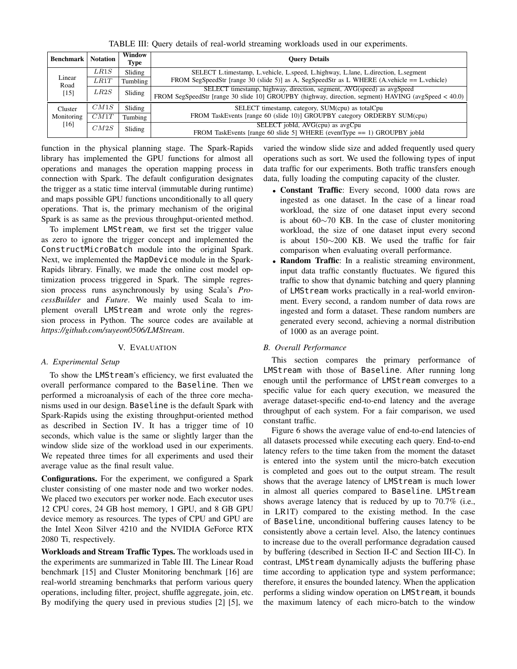TABLE III: Query details of real-world streaming workloads used in our experiments.

<span id="page-7-1"></span>

| <b>Benchmark   Notation</b> |      | Window<br>Type | <b>Ouery Details</b>                                                                                                                                                         |  |  |
|-----------------------------|------|----------------|------------------------------------------------------------------------------------------------------------------------------------------------------------------------------|--|--|
| Linear<br>Road<br>$[15]$    | LR1S | Sliding        | SELECT L.timestamp, L.vehicle, L.speed, L.highway, L.lane, L.direction, L.segment                                                                                            |  |  |
|                             | LR1T | Tumbling       | FROM SegSpeedStr [range 30 (slide 5)] as A, SegSpeedStr as L WHERE (A.vehicle == L.vehicle)                                                                                  |  |  |
|                             | LR2S | Sliding        | SELECT timestamp, highway, direction, segment, AVG(speed) as avgSpeed<br>FROM SegSpeedStr [range 30 slide 10] GROUPBY (highway, direction, segment) HAVING (avgSpeed < 40.0) |  |  |
| Cluster                     | CM1S | Sliding        | SELECT timestamp, category, SUM(cpu) as totalCpu                                                                                                                             |  |  |
| Monitoring<br>[16]          | CM1T | Tumbing        | FROM TaskEvents [range 60 (slide 10)] GROUPBY category ORDERBY SUM(cpu)                                                                                                      |  |  |
|                             | CM2S | Sliding        | SELECT jobId, AVG(cpu) as avgCpu<br>FROM TaskEvents [range 60 slide 5] WHERE (eventType $== 1$ ) GROUPBY jobId                                                               |  |  |

function in the physical planning stage. The Spark-Rapids library has implemented the GPU functions for almost all operations and manages the operation mapping process in connection with Spark. The default configuration designates the trigger as a static time interval (immutable during runtime) and maps possible GPU functions unconditionally to all query operations. That is, the primary mechanism of the original Spark is as same as the previous throughput-oriented method.

To implement LMStream, we first set the trigger value as zero to ignore the trigger concept and implemented the ConstructMicroBatch module into the original Spark. Next, we implemented the MapDevice module in the Spark-Rapids library. Finally, we made the online cost model optimization process triggered in Spark. The simple regression process runs asynchronously by using Scala's *ProcessBuilder* and *Future*. We mainly used Scala to implement overall LMStream and wrote only the regression process in Python. The source codes are available at *https://github.com/suyeon0506/LMStream*.

## V. EVALUATION

## <span id="page-7-0"></span>*A. Experimental Setup*

To show the LMStream's efficiency, we first evaluated the overall performance compared to the Baseline. Then we performed a microanalysis of each of the three core mechanisms used in our design. Baseline is the default Spark with Spark-Rapids using the existing throughput-oriented method as described in Section [IV.](#page-6-5) It has a trigger time of 10 seconds, which value is the same or slightly larger than the window slide size of the workload used in our experiments. We repeated three times for all experiments and used their average value as the final result value.

Configurations. For the experiment, we configured a Spark cluster consisting of one master node and two worker nodes. We placed two executors per worker node. Each executor uses 12 CPU cores, 24 GB host memory, 1 GPU, and 8 GB GPU device memory as resources. The types of CPU and GPU are the Intel Xeon Silver 4210 and the NVIDIA GeForce RTX 2080 Ti, respectively.

Workloads and Stream Traffic Types. The workloads used in the experiments are summarized in Table [III.](#page-7-1) The Linear Road benchmark [\[15\]](#page-10-2) and Cluster Monitoring benchmark [\[16\]](#page-10-4) are real-world streaming benchmarks that perform various query operations, including filter, project, shuffle aggregate, join, etc. By modifying the query used in previous studies [\[2\]](#page-9-1) [\[5\]](#page-9-4), we

varied the window slide size and added frequently used query operations such as sort. We used the following types of input data traffic for our experiments. Both traffic transfers enough data, fully loading the computing capacity of the cluster.

- Constant Traffic: Every second, 1000 data rows are ingested as one dataset. In the case of a linear road workload, the size of one dataset input every second is about 60∼70 KB. In the case of cluster monitoring workload, the size of one dataset input every second is about 150∼200 KB. We used the traffic for fair comparison when evaluating overall performance.
- Random Traffic: In a realistic streaming environment, input data traffic constantly fluctuates. We figured this traffic to show that dynamic batching and query planning of LMStream works practically in a real-world environment. Every second, a random number of data rows are ingested and form a dataset. These random numbers are generated every second, achieving a normal distribution of 1000 as an average point.

## <span id="page-7-2"></span>*B. Overall Performance*

This section compares the primary performance of LMStream with those of Baseline. After running long enough until the performance of LMStream converges to a specific value for each query execution, we measured the average dataset-specific end-to-end latency and the average throughput of each system. For a fair comparison, we used constant traffic.

Figure [6](#page-8-0) shows the average value of end-to-end latencies of all datasets processed while executing each query. End-to-end latency refers to the time taken from the moment the dataset is entered into the system until the micro-batch execution is completed and goes out to the output stream. The result shows that the average latency of LMStream is much lower in almost all queries compared to Baseline. LMStream shows average latency that is reduced by up to 70.7% (i.e., in LR1T) compared to the existing method. In the case of Baseline, unconditional buffering causes latency to be consistently above a certain level. Also, the latency continues to increase due to the overall performance degradation caused by buffering (described in Section [II-C](#page-1-0) and Section [III-C\)](#page-4-3). In contrast, LMStream dynamically adjusts the buffering phase time according to application type and system performance; therefore, it ensures the bounded latency. When the application performs a sliding window operation on LMStream, it bounds the maximum latency of each micro-batch to the window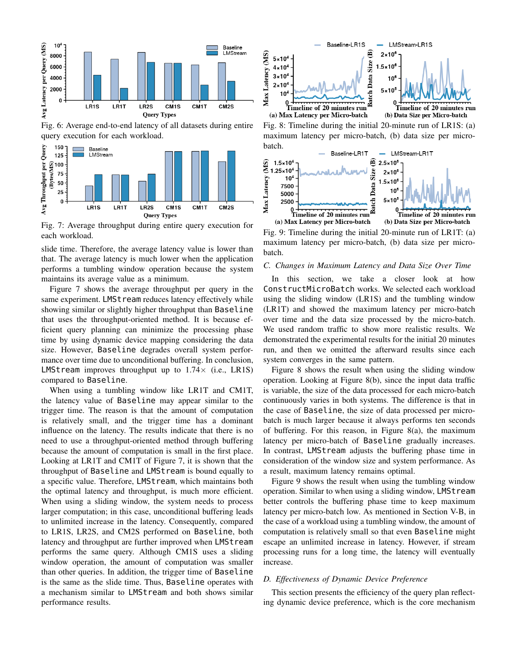<span id="page-8-0"></span>

Fig. 6: Average end-to-end latency of all datasets during entire query execution for each workload.

<span id="page-8-1"></span>

Fig. 7: Average throughput during entire query execution for each workload.

slide time. Therefore, the average latency value is lower than that. The average latency is much lower when the application performs a tumbling window operation because the system maintains its average value as a minimum.

Figure [7](#page-8-1) shows the average throughput per query in the same experiment. LMSt ream reduces latency effectively while showing similar or slightly higher throughput than Baseline that uses the throughput-oriented method. It is because efficient query planning can minimize the processing phase time by using dynamic device mapping considering the data size. However, Baseline degrades overall system performance over time due to unconditional buffering. In conclusion, LMStream improves throughput up to  $1.74\times$  (i.e., LR1S) compared to Baseline.

When using a tumbling window like LR1T and CM1T, the latency value of Baseline may appear similar to the trigger time. The reason is that the amount of computation is relatively small, and the trigger time has a dominant influence on the latency. The results indicate that there is no need to use a throughput-oriented method through buffering because the amount of computation is small in the first place. Looking at LR1T and CM1T of Figure [7,](#page-8-1) it is shown that the throughput of Baseline and LMStream is bound equally to a specific value. Therefore, LMStream, which maintains both the optimal latency and throughput, is much more efficient. When using a sliding window, the system needs to process larger computation; in this case, unconditional buffering leads to unlimited increase in the latency. Consequently, compared to LR1S, LR2S, and CM2S performed on Baseline, both latency and throughput are further improved when LMStream performs the same query. Although CM1S uses a sliding window operation, the amount of computation was smaller than other queries. In addition, the trigger time of Baseline is the same as the slide time. Thus, Baseline operates with a mechanism similar to LMStream and both shows similar performance results.

<span id="page-8-2"></span>

Fig. 8: Timeline during the initial 20-minute run of LR1S: (a) maximum latency per micro-batch, (b) data size per microbatch.

<span id="page-8-3"></span>

Fig. 9: Timeline during the initial 20-minute run of LR1T: (a) maximum latency per micro-batch, (b) data size per microbatch.

## *C. Changes in Maximum Latency and Data Size Over Time*

In this section, we take a closer look at how ConstructMicroBatch works. We selected each workload using the sliding window (LR1S) and the tumbling window (LR1T) and showed the maximum latency per micro-batch over time and the data size processed by the micro-batch. We used random traffic to show more realistic results. We demonstrated the experimental results for the initial 20 minutes run, and then we omitted the afterward results since each system converges in the same pattern.

Figure [8](#page-8-2) shows the result when using the sliding window operation. Looking at Figure [8\(](#page-8-2)b), since the input data traffic is variable, the size of the data processed for each micro-batch continuously varies in both systems. The difference is that in the case of Baseline, the size of data processed per microbatch is much larger because it always performs ten seconds of buffering. For this reason, in Figure [8\(](#page-8-2)a), the maximum latency per micro-batch of Baseline gradually increases. In contrast, LMStream adjusts the buffering phase time in consideration of the window size and system performance. As a result, maximum latency remains optimal.

Figure [9](#page-8-3) shows the result when using the tumbling window operation. Similar to when using a sliding window, LMStream better controls the buffering phase time to keep maximum latency per micro-batch low. As mentioned in Section [V-B,](#page-7-2) in the case of a workload using a tumbling window, the amount of computation is relatively small so that even Baseline might escape an unlimited increase in latency. However, if stream processing runs for a long time, the latency will eventually increase.

#### *D. Effectiveness of Dynamic Device Preference*

This section presents the efficiency of the query plan reflecting dynamic device preference, which is the core mechanism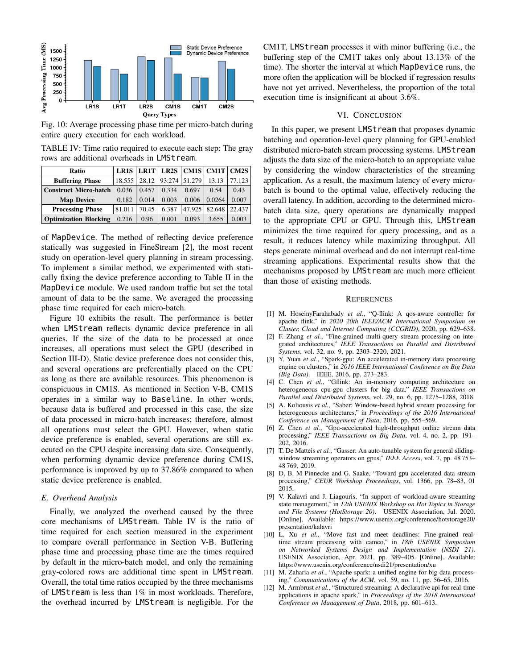<span id="page-9-12"></span>

Fig. 10: Average processing phase time per micro-batch during entire query execution for each workload.

<span id="page-9-13"></span>TABLE IV: Time ratio required to execute each step: The gray rows are additional overheads in LMStream.

| Ratio                        | LR1S   | LR1T  | LR <sub>2</sub> S | <b>CM1S</b> | CM1T   | CM2S   |
|------------------------------|--------|-------|-------------------|-------------|--------|--------|
| <b>Buffering Phase</b>       | 18.555 | 28.12 | 93.274            | 51.279      | 13.13  | 77.123 |
| <b>Construct Micro-batch</b> | 0.036  | 0.457 | 0.334             | 0.697       | 0.54   | 0.43   |
| <b>Map Device</b>            | 0.182  | 0.014 | 0.003             | 0.006       | 0.0264 | 0.007  |
| <b>Processing Phase</b>      | 81.011 | 70.45 | 6.387             | 47.925      | 82.648 | 22.437 |
| <b>Optimization Blocking</b> | 0.216  | 0.96  | 0.001             | 0.093       | 3.655  | 0.003  |

of MapDevice. The method of reflecting device preference statically was suggested in FineStream [\[2\]](#page-9-1), the most recent study on operation-level query planning in stream processing. To implement a similar method, we experimented with statically fixing the device preference according to Table [II](#page-5-2) in the MapDevice module. We used random traffic but set the total amount of data to be the same. We averaged the processing phase time required for each micro-batch.

Figure [10](#page-9-12) exhibits the result. The performance is better when LMStream reflects dynamic device preference in all queries. If the size of the data to be processed at once increases, all operations must select the GPU (described in Section [III-D\)](#page-5-3). Static device preference does not consider this, and several operations are preferentially placed on the CPU as long as there are available resources. This phenomenon is conspicuous in CM1S. As mentioned in Section [V-B,](#page-7-2) CM1S operates in a similar way to Baseline. In other words, because data is buffered and processed in this case, the size of data processed in micro-batch increases; therefore, almost all operations must select the GPU. However, when static device preference is enabled, several operations are still executed on the CPU despite increasing data size. Consequently, when performing dynamic device preference during CM1S, performance is improved by up to 37.86% compared to when static device preference is enabled.

## *E. Overhead Analysis*

Finally, we analyzed the overhead caused by the three core mechanisms of LMStream. Table [IV](#page-9-13) is the ratio of time required for each section measured in the experiment to compare overall performance in Section [V-B.](#page-7-2) Buffering phase time and processing phase time are the times required by default in the micro-batch model, and only the remaining gray-colored rows are additional time spent in LMStream. Overall, the total time ratios occupied by the three mechanisms of LMStream is less than 1% in most workloads. Therefore, the overhead incurred by LMStream is negligible. For the CM1T, LMStream processes it with minor buffering (i.e., the buffering step of the CM1T takes only about 13.13% of the time). The shorter the interval at which MapDevice runs, the more often the application will be blocked if regression results have not yet arrived. Nevertheless, the proportion of the total execution time is insignificant at about 3.6%.

### VI. CONCLUSION

In this paper, we present LMStream that proposes dynamic batching and operation-level query planning for GPU-enabled distributed micro-batch stream processing systems. LMStream adjusts the data size of the micro-batch to an appropriate value by considering the window characteristics of the streaming application. As a result, the maximum latency of every microbatch is bound to the optimal value, effectively reducing the overall latency. In addition, according to the determined microbatch data size, query operations are dynamically mapped to the appropriate CPU or GPU. Through this, LMStream minimizes the time required for query processing, and as a result, it reduces latency while maximizing throughput. All steps generate minimal overhead and do not interrupt real-time streaming applications. Experimental results show that the mechanisms proposed by LMStream are much more efficient than those of existing methods.

#### **REFERENCES**

- <span id="page-9-0"></span>[1] M. HoseinyFarahabady *et al.*, "Q-flink: A qos-aware controller for apache flink," in *2020 20th IEEE/ACM International Symposium on Cluster, Cloud and Internet Computing (CCGRID)*, 2020, pp. 629–638.
- <span id="page-9-1"></span>[2] F. Zhang *et al.*, "Fine-grained multi-query stream processing on integrated architectures," *IEEE Transactions on Parallel and Distributed Systems*, vol. 32, no. 9, pp. 2303–2320, 2021.
- <span id="page-9-2"></span>[3] Y. Yuan *et al.*, "Spark-gpu: An accelerated in-memory data processing engine on clusters," in *2016 IEEE International Conference on Big Data (Big Data)*. IEEE, 2016, pp. 273–283.
- <span id="page-9-3"></span>[4] C. Chen *et al.*, "Gflink: An in-memory computing architecture on heterogeneous cpu-gpu clusters for big data," *IEEE Transactions on Parallel and Distributed Systems*, vol. 29, no. 6, pp. 1275–1288, 2018.
- <span id="page-9-4"></span>[5] A. Koliousis *et al.*, "Saber: Window-based hybrid stream processing for heterogeneous architectures," in *Proceedings of the 2016 International Conference on Management of Data*, 2016, pp. 555–569.
- <span id="page-9-5"></span>[6] Z. Chen *et al.*, "Gpu-accelerated high-throughput online stream data processing," *IEEE Transactions on Big Data*, vol. 4, no. 2, pp. 191– 202, 2016.
- <span id="page-9-6"></span>[7] T. De Matteis *et al.*, "Gasser: An auto-tunable system for general slidingwindow streaming operators on gpus," *IEEE Access*, vol. 7, pp. 48 753– 48 769, 2019.
- <span id="page-9-7"></span>[8] D. B. M Pinnecke and G. Saake, "Toward gpu accelerated data stream processing," *CEUR Workshop Proceedings*, vol. 1366, pp. 78–83, 01 2015.
- <span id="page-9-8"></span>[9] V. Kalavri and J. Liagouris, "In support of workload-aware streaming state management," in *12th USENIX Workshop on Hot Topics in Storage and File Systems (HotStorage 20)*. USENIX Association, Jul. 2020. [Online]. Available: [https://www.usenix.org/conference/hotstorage20/](https://www.usenix.org/conference/hotstorage20/presentation/kalavri) [presentation/kalavri](https://www.usenix.org/conference/hotstorage20/presentation/kalavri)
- <span id="page-9-9"></span>[10] L. Xu *et al.*, "Move fast and meet deadlines: Fine-grained realtime stream processing with cameo," in *18th USENIX Symposium on Networked Systems Design and Implementation (NSDI 21)*. USENIX Association, Apr. 2021, pp. 389–405. [Online]. Available: <https://www.usenix.org/conference/nsdi21/presentation/xu>
- <span id="page-9-10"></span>[11] M. Zaharia et al., "Apache spark: a unified engine for big data processing," *Communications of the ACM*, vol. 59, no. 11, pp. 56–65, 2016.
- <span id="page-9-11"></span>[12] M. Armbrust *et al.*, "Structured streaming: A declarative api for real-time applications in apache spark," in *Proceedings of the 2018 International Conference on Management of Data*, 2018, pp. 601–613.